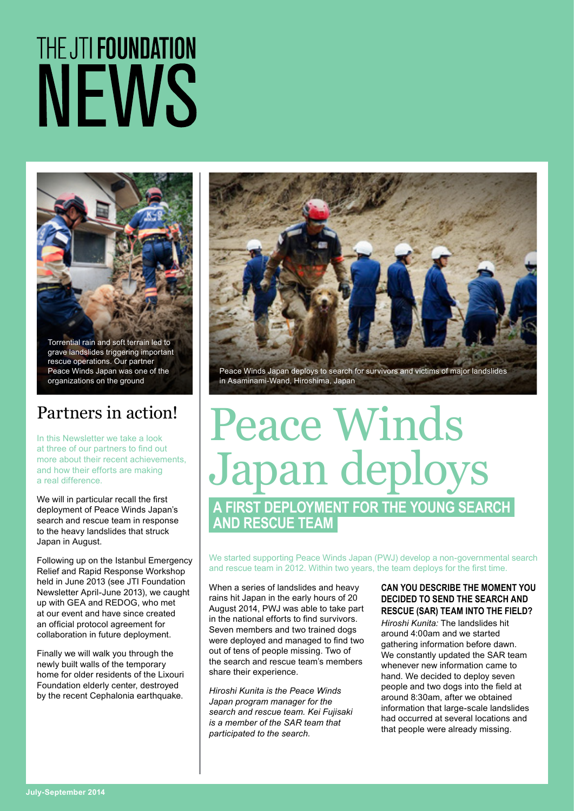# THE JTI FOUNDATION NEWS



grave landslides triggering important rescue operations. Our partner Peace Winds Japan was one of the organizations on the ground

### Partners in action!

In this Newsletter we take a look at three of our partners to find out more about their recent achievements, and how their efforts are making a real difference.

We will in particular recall the first deployment of Peace Winds Japan's search and rescue team in response to the heavy landslides that struck Japan in August.

Following up on the Istanbul Emergency Relief and Rapid Response Workshop held in June 2013 (see JTI Foundation Newsletter April-June 2013), we caught up with GEA and REDOG, who met at our event and have since created an official protocol agreement for collaboration in future deployment.

Finally we will walk you through the newly built walls of the temporary home for older residents of the Lixouri Foundation elderly center, destroyed by the recent Cephalonia earthquake.



in Asaminami-Wand, Hiroshima, Japan

### Peace Winds Japan deploys **A FIRST DEPLOYMENT FOR THE YOUNG SEARCH AND RESCUE TEAM**

We started supporting Peace Winds Japan (PWJ) develop a non-governmental search and rescue team in 2012. Within two years, the team deploys for the first time.

When a series of landslides and heavy rains hit Japan in the early hours of 20 August 2014, PWJ was able to take part in the national efforts to find survivors. Seven members and two trained dogs were deployed and managed to find two out of tens of people missing. Two of the search and rescue team's members share their experience.

*Hiroshi Kunita is the Peace Winds Japan program manager for the search and rescue team. Kei Fujisaki is a member of the SAR team that participated to the search.* 

#### **CAN YOU DESCRIBE THE MOMENT YOU DECIDED TO SEND THE SEARCH AND RESCUE (SAR) TEAM INTO THE FIELD?**

*Hiroshi Kunita:* The landslides hit around 4:00am and we started gathering information before dawn. We constantly updated the SAR team whenever new information came to hand. We decided to deploy seven people and two dogs into the field at around 8:30am, after we obtained information that large-scale landslides had occurred at several locations and that people were already missing.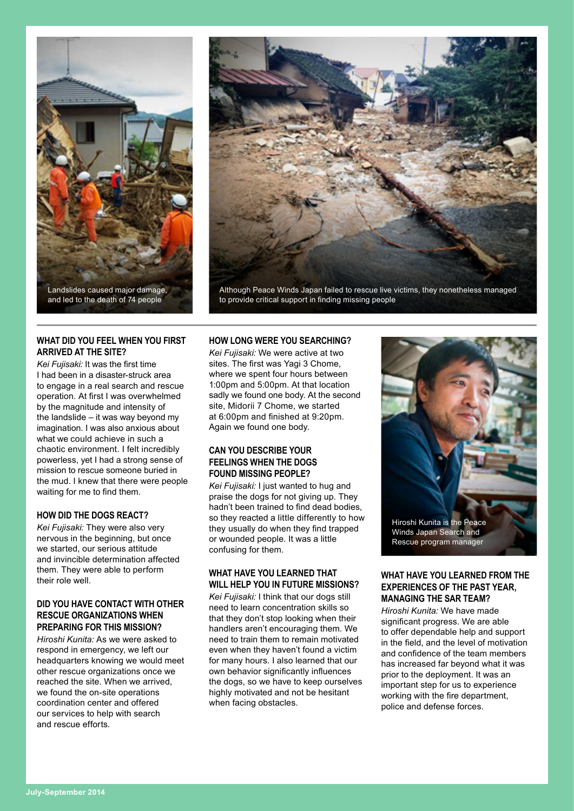



#### **WHAT DID YOU FEEL WHEN YOU FIRST ARRIVED AT THE SITE?**

*Kei Fujisaki:* It was the first time I had been in a disaster-struck area to engage in a real search and rescue operation. At first I was overwhelmed by the magnitude and intensity of the landslide – it was way beyond my imagination. I was also anxious about what we could achieve in such a chaotic environment. I felt incredibly powerless, yet I had a strong sense of mission to rescue someone buried in the mud. I knew that there were people waiting for me to find them.

#### **HOW DID THE DOGS REACT?**

*Kei Fujisaki:* They were also very nervous in the beginning, but once we started, our serious attitude and invincible determination affected them. They were able to perform their role well.

#### **DID YOU HAVE CONTACT WITH OTHER RESCUE ORGANIZATIONS WHEN PREPARING FOR THIS MISSION?**

*Hiroshi Kunita:* As we were asked to respond in emergency, we left our headquarters knowing we would meet other rescue organizations once we reached the site. When we arrived, we found the on-site operations coordination center and offered our services to help with search and rescue efforts.

#### **HOW LONG WERE YOU SEARCHING?**

*Kei Fujisaki:* We were active at two sites. The first was Yagi 3 Chome, where we spent four hours between 1:00pm and 5:00pm. At that location sadly we found one body. At the second site, Midorii 7 Chome, we started at 6:00pm and finished at 9:20pm. Again we found one body.

#### **CAN YOU DESCRIBE YOUR FEELINGS WHEN THE DOGS FOUND MISSING PEOPLE?**

*Kei Fujisaki:* I just wanted to hug and praise the dogs for not giving up. They hadn't been trained to find dead bodies, so they reacted a little differently to how they usually do when they find trapped or wounded people. It was a little confusing for them.

#### **WHAT HAVE YOU LEARNED THAT WILL HELP YOU IN FUTURE MISSIONS?**

*Kei Fujisaki:* I think that our dogs still need to learn concentration skills so that they don't stop looking when their handlers aren't encouraging them. We need to train them to remain motivated even when they haven't found a victim for many hours. I also learned that our own behavior significantly influences the dogs, so we have to keep ourselves highly motivated and not be hesitant when facing obstacles.



#### **WHAT HAVE YOU LEARNED FROM THE EXPERIENCES OF THE PAST YEAR, MANAGING THE SAR TEAM?**

*Hiroshi Kunita:* We have made significant progress. We are able to offer dependable help and support in the field, and the level of motivation and confidence of the team members has increased far beyond what it was prior to the deployment. It was an important step for us to experience working with the fire department, police and defense forces.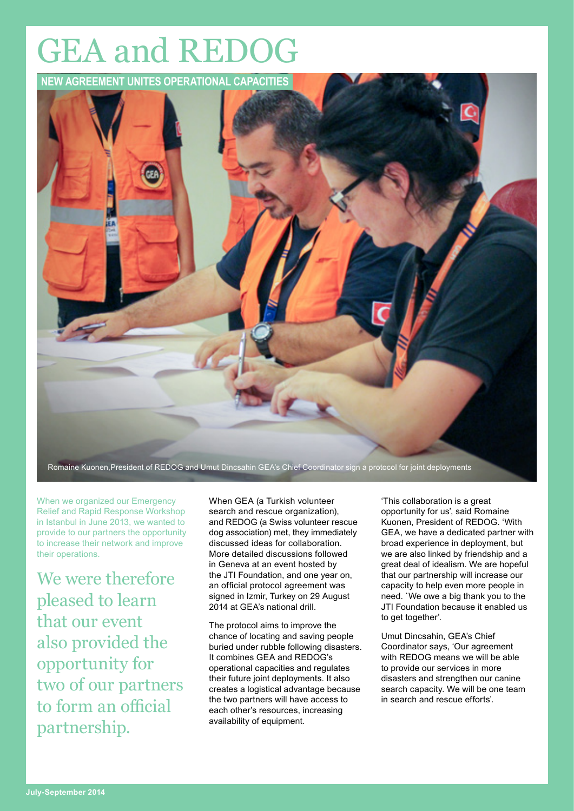# GEA and REDOG



When we organized our Emergency Relief and Rapid Response Workshop in Istanbul in June 2013, we wanted to provide to our partners the opportunity to increase their network and improve their operations.

We were therefore pleased to learn that our event also provided the opportunity for two of our partners to form an official partnership.

When GEA (a Turkish volunteer search and rescue organization), and REDOG (a Swiss volunteer rescue dog association) met, they immediately discussed ideas for collaboration. More detailed discussions followed in Geneva at an event hosted by the JTI Foundation, and one year on, an official protocol agreement was signed in Izmir, Turkey on 29 August 2014 at GEA's national drill.

The protocol aims to improve the chance of locating and saving people buried under rubble following disasters. It combines GEA and REDOG's operational capacities and regulates their future joint deployments. It also creates a logistical advantage because the two partners will have access to each other's resources, increasing availability of equipment.

'This collaboration is a great opportunity for us', said Romaine Kuonen, President of REDOG. 'With GEA, we have a dedicated partner with broad experience in deployment, but we are also linked by friendship and a great deal of idealism. We are hopeful that our partnership will increase our capacity to help even more people in need. `We owe a big thank you to the JTI Foundation because it enabled us to get together'.

Umut Dincsahin, GEA's Chief Coordinator says, 'Our agreement with REDOG means we will be able to provide our services in more disasters and strengthen our canine search capacity. We will be one team in search and rescue efforts'.